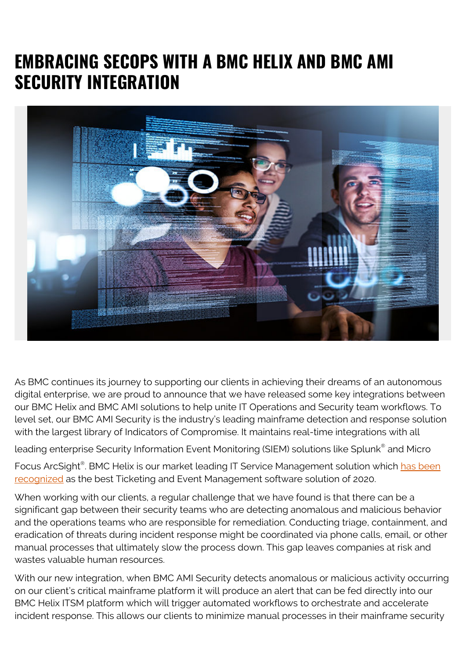## **EMBRACING SECOPS WITH A BMC HELIX AND BMC AMI SECURITY INTEGRATION**



As BMC continues its journey to supporting our clients in achieving their dreams of an autonomous digital enterprise, we are proud to announce that we have released some key integrations between our BMC Helix and BMC AMI solutions to help unite IT Operations and Security team workflows. To level set, our BMC AMI Security is the industry's leading mainframe detection and response solution with the largest library of Indicators of Compromise. It maintains real-time integrations with all

leading enterprise Security Information Event Monitoring (SIEM) solutions like Splunk® and Micro

Focus ArcSight®. BMC Helix is our market leading IT Service Management solution which <mark>has been</mark> [recognized](https://www.cloud-awards.com/2020-software-awards-shortlist/) as the best Ticketing and Event Management software solution of 2020.

When working with our clients, a regular challenge that we have found is that there can be a significant gap between their security teams who are detecting anomalous and malicious behavior and the operations teams who are responsible for remediation. Conducting triage, containment, and eradication of threats during incident response might be coordinated via phone calls, email, or other manual processes that ultimately slow the process down. This gap leaves companies at risk and wastes valuable human resources.

With our new integration, when BMC AMI Security detects anomalous or malicious activity occurring on our client's critical mainframe platform it will produce an alert that can be fed directly into our BMC Helix ITSM platform which will trigger automated workflows to orchestrate and accelerate incident response. This allows our clients to minimize manual processes in their mainframe security